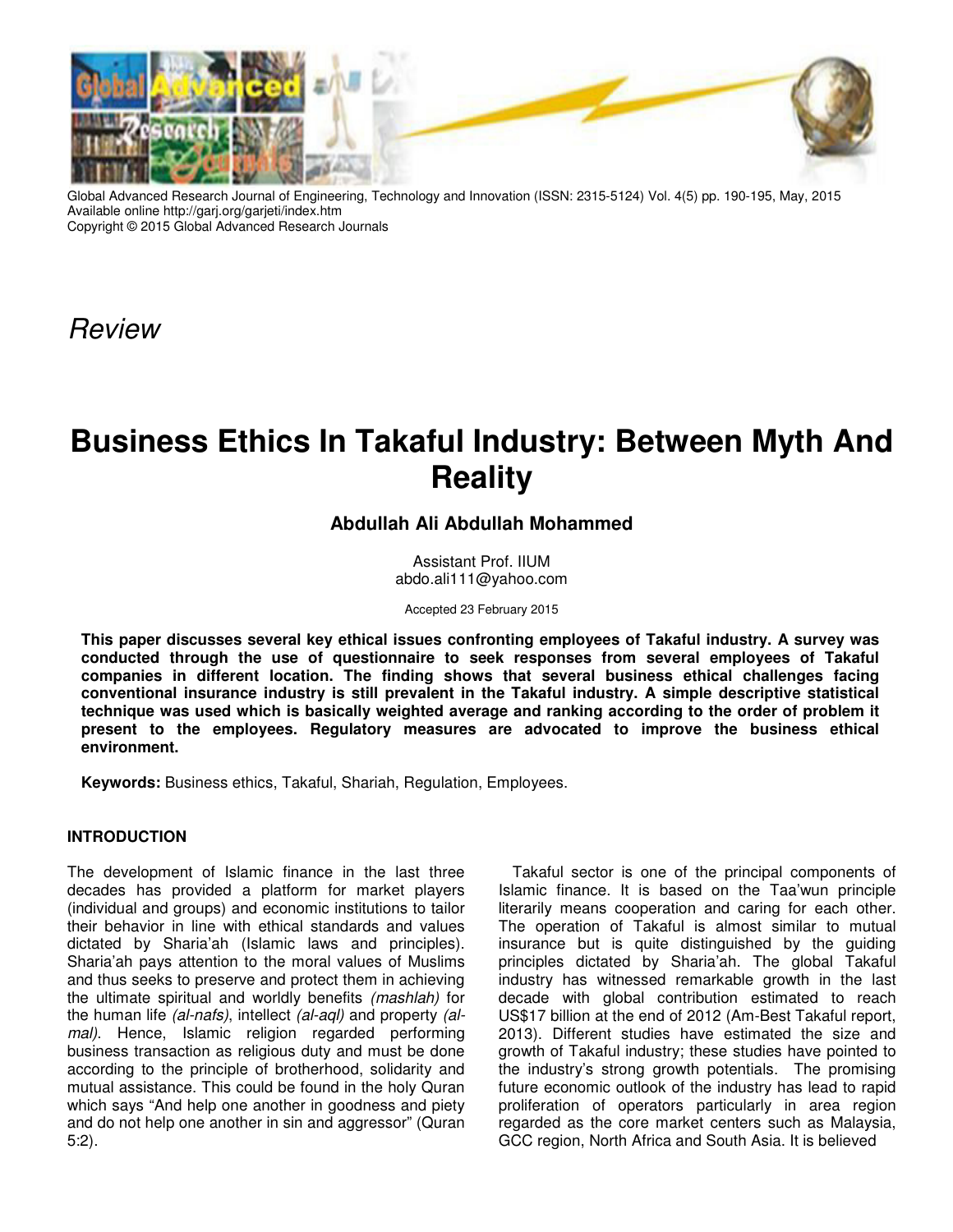

Global Advanced Research Journal of Engineering, Technology and Innovation (ISSN: 2315-5124) Vol. 4(5) pp. 190-195, May, 2015 Available online http://garj.org/garjeti/index.htm Copyright © 2015 Global Advanced Research Journals

Review

# **Business Ethics In Takaful Industry: Between Myth And Reality**

## **Abdullah Ali Abdullah Mohammed**

Assistant Prof. IIUM abdo.ali111@yahoo.com

Accepted 23 February 2015

**This paper discusses several key ethical issues confronting employees of Takaful industry. A survey was conducted through the use of questionnaire to seek responses from several employees of Takaful companies in different location. The finding shows that several business ethical challenges facing conventional insurance industry is still prevalent in the Takaful industry. A simple descriptive statistical technique was used which is basically weighted average and ranking according to the order of problem it present to the employees. Regulatory measures are advocated to improve the business ethical environment.** 

**Keywords:** Business ethics, Takaful, Shariah, Regulation, Employees.

### **INTRODUCTION**

The development of Islamic finance in the last three decades has provided a platform for market players (individual and groups) and economic institutions to tailor their behavior in line with ethical standards and values dictated by Sharia'ah (Islamic laws and principles). Sharia'ah pays attention to the moral values of Muslims and thus seeks to preserve and protect them in achieving the ultimate spiritual and worldly benefits (mashlah) for the human life (al-nafs), intellect (al-aql) and property (almal). Hence, Islamic religion regarded performing business transaction as religious duty and must be done according to the principle of brotherhood, solidarity and mutual assistance. This could be found in the holy Quran which says "And help one another in goodness and piety and do not help one another in sin and aggressor" (Quran 5:2).

Takaful sector is one of the principal components of Islamic finance. It is based on the Taa'wun principle literarily means cooperation and caring for each other. The operation of Takaful is almost similar to mutual insurance but is quite distinguished by the guiding principles dictated by Sharia'ah. The global Takaful industry has witnessed remarkable growth in the last decade with global contribution estimated to reach US\$17 billion at the end of 2012 (Am-Best Takaful report, 2013). Different studies have estimated the size and growth of Takaful industry; these studies have pointed to the industry's strong growth potentials. The promising future economic outlook of the industry has lead to rapid proliferation of operators particularly in area region regarded as the core market centers such as Malaysia, GCC region, North Africa and South Asia. It is believed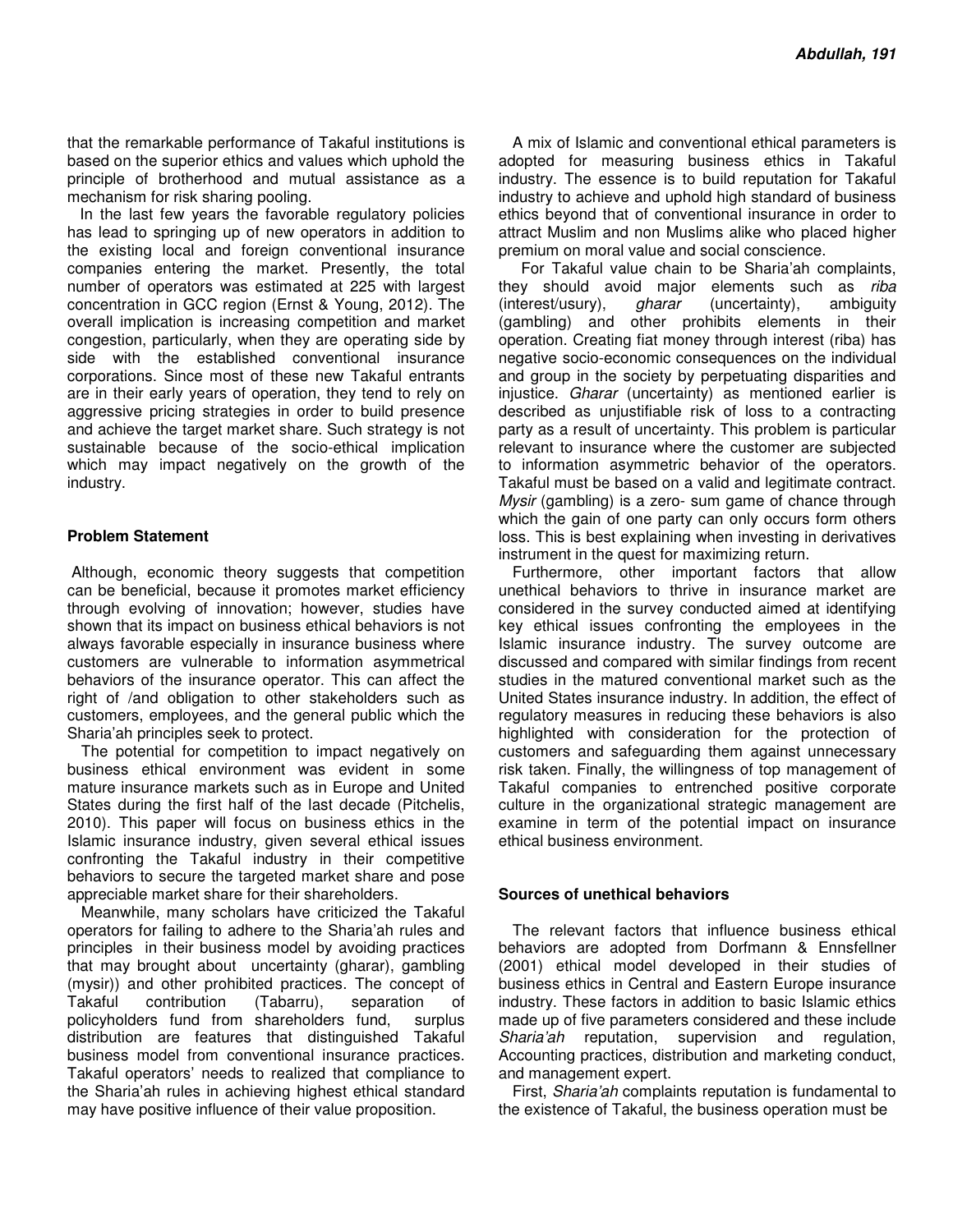that the remarkable performance of Takaful institutions is based on the superior ethics and values which uphold the principle of brotherhood and mutual assistance as a mechanism for risk sharing pooling.

 In the last few years the favorable regulatory policies has lead to springing up of new operators in addition to the existing local and foreign conventional insurance companies entering the market. Presently, the total number of operators was estimated at 225 with largest concentration in GCC region (Ernst & Young, 2012). The overall implication is increasing competition and market congestion, particularly, when they are operating side by side with the established conventional insurance corporations. Since most of these new Takaful entrants are in their early years of operation, they tend to rely on aggressive pricing strategies in order to build presence and achieve the target market share. Such strategy is not sustainable because of the socio-ethical implication which may impact negatively on the growth of the industry.

#### **Problem Statement**

 Although, economic theory suggests that competition can be beneficial, because it promotes market efficiency through evolving of innovation; however, studies have shown that its impact on business ethical behaviors is not always favorable especially in insurance business where customers are vulnerable to information asymmetrical behaviors of the insurance operator. This can affect the right of /and obligation to other stakeholders such as customers, employees, and the general public which the Sharia'ah principles seek to protect.

The potential for competition to impact negatively on business ethical environment was evident in some mature insurance markets such as in Europe and United States during the first half of the last decade (Pitchelis, 2010). This paper will focus on business ethics in the Islamic insurance industry, given several ethical issues confronting the Takaful industry in their competitive behaviors to secure the targeted market share and pose appreciable market share for their shareholders.

Meanwhile, many scholars have criticized the Takaful operators for failing to adhere to the Sharia'ah rules and principles in their business model by avoiding practices that may brought about uncertainty (gharar), gambling (mysir)) and other prohibited practices. The concept of Takaful contribution (Tabarru), separation of policyholders fund from shareholders fund, distribution are features that distinguished Takaful business model from conventional insurance practices. Takaful operators' needs to realized that compliance to the Sharia'ah rules in achieving highest ethical standard may have positive influence of their value proposition.

A mix of Islamic and conventional ethical parameters is adopted for measuring business ethics in Takaful industry. The essence is to build reputation for Takaful industry to achieve and uphold high standard of business ethics beyond that of conventional insurance in order to attract Muslim and non Muslims alike who placed higher premium on moral value and social conscience.

 For Takaful value chain to be Sharia'ah complaints, they should avoid major elements such as riba (interest/usury), gharar (uncertainty), ambiguity (gambling) and other prohibits elements in their operation. Creating fiat money through interest (riba) has negative socio-economic consequences on the individual and group in the society by perpetuating disparities and injustice. Gharar (uncertainty) as mentioned earlier is described as unjustifiable risk of loss to a contracting party as a result of uncertainty. This problem is particular relevant to insurance where the customer are subjected to information asymmetric behavior of the operators. Takaful must be based on a valid and legitimate contract. Mysir (gambling) is a zero- sum game of chance through which the gain of one party can only occurs form others loss. This is best explaining when investing in derivatives instrument in the quest for maximizing return.

Furthermore, other important factors that allow unethical behaviors to thrive in insurance market are considered in the survey conducted aimed at identifying key ethical issues confronting the employees in the Islamic insurance industry. The survey outcome are discussed and compared with similar findings from recent studies in the matured conventional market such as the United States insurance industry. In addition, the effect of regulatory measures in reducing these behaviors is also highlighted with consideration for the protection of customers and safeguarding them against unnecessary risk taken. Finally, the willingness of top management of Takaful companies to entrenched positive corporate culture in the organizational strategic management are examine in term of the potential impact on insurance ethical business environment.

#### **Sources of unethical behaviors**

The relevant factors that influence business ethical behaviors are adopted from Dorfmann & Ennsfellner (2001) ethical model developed in their studies of business ethics in Central and Eastern Europe insurance industry. These factors in addition to basic Islamic ethics made up of five parameters considered and these include Sharia'ah reputation, supervision and regulation, Accounting practices, distribution and marketing conduct, and management expert.

First, Sharia'ah complaints reputation is fundamental to the existence of Takaful, the business operation must be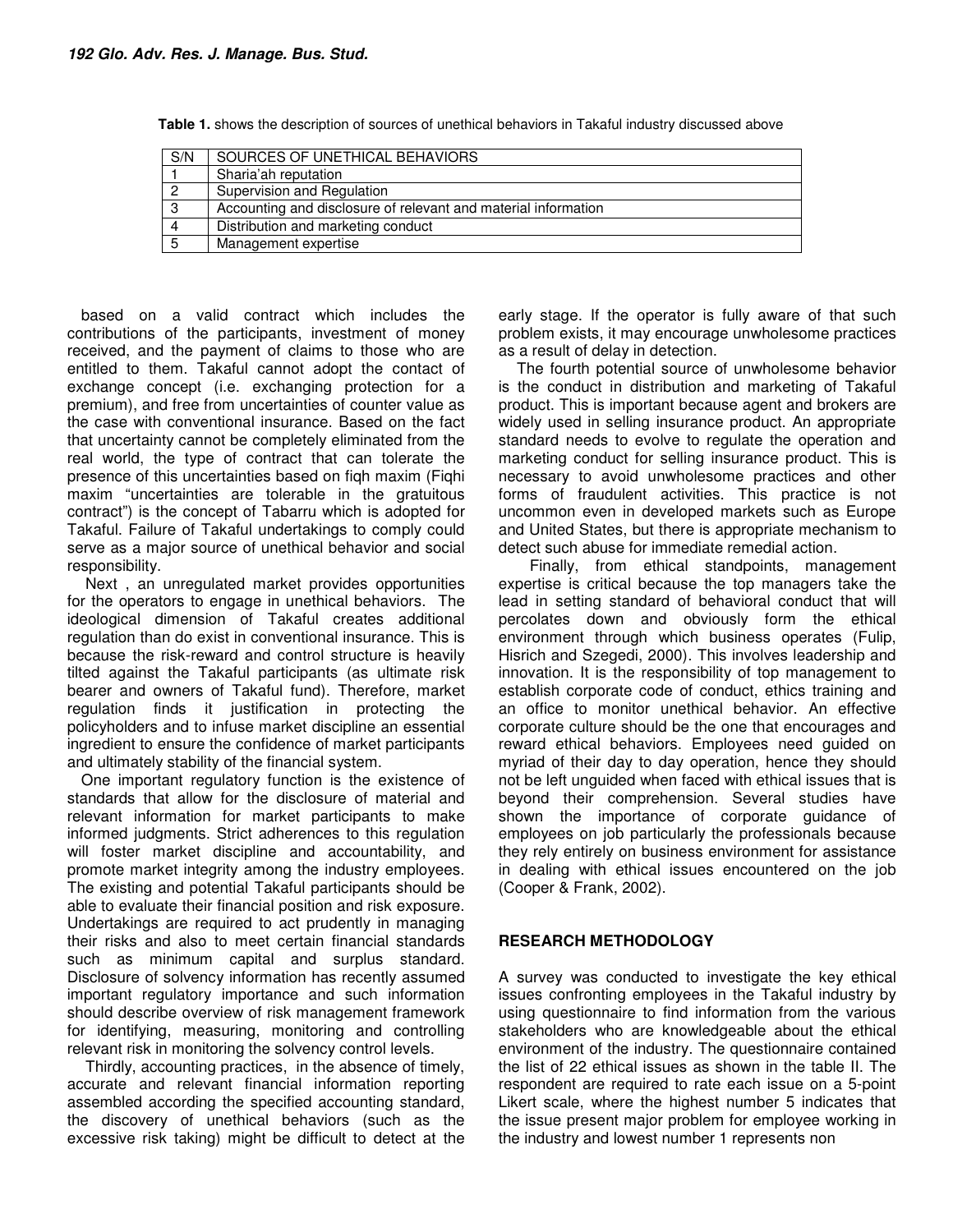| S/N | SOURCES OF UNETHICAL BEHAVIORS                                 |
|-----|----------------------------------------------------------------|
|     | Sharia'ah reputation                                           |
|     | Supervision and Regulation                                     |
| 3   | Accounting and disclosure of relevant and material information |
| 4   | Distribution and marketing conduct                             |
| 5   | Management expertise                                           |

**Table 1.** shows the description of sources of unethical behaviors in Takaful industry discussed above

based on a valid contract which includes the contributions of the participants, investment of money received, and the payment of claims to those who are entitled to them. Takaful cannot adopt the contact of exchange concept (i.e. exchanging protection for a premium), and free from uncertainties of counter value as the case with conventional insurance. Based on the fact that uncertainty cannot be completely eliminated from the real world, the type of contract that can tolerate the presence of this uncertainties based on fiqh maxim (Fiqhi maxim "uncertainties are tolerable in the gratuitous contract") is the concept of Tabarru which is adopted for Takaful. Failure of Takaful undertakings to comply could serve as a major source of unethical behavior and social responsibility.

 Next , an unregulated market provides opportunities for the operators to engage in unethical behaviors. The ideological dimension of Takaful creates additional regulation than do exist in conventional insurance. This is because the risk-reward and control structure is heavily tilted against the Takaful participants (as ultimate risk bearer and owners of Takaful fund). Therefore, market regulation finds it justification in protecting the policyholders and to infuse market discipline an essential ingredient to ensure the confidence of market participants and ultimately stability of the financial system.

One important regulatory function is the existence of standards that allow for the disclosure of material and relevant information for market participants to make informed judgments. Strict adherences to this regulation will foster market discipline and accountability, and promote market integrity among the industry employees. The existing and potential Takaful participants should be able to evaluate their financial position and risk exposure. Undertakings are required to act prudently in managing their risks and also to meet certain financial standards such as minimum capital and surplus standard. Disclosure of solvency information has recently assumed important regulatory importance and such information should describe overview of risk management framework for identifying, measuring, monitoring and controlling relevant risk in monitoring the solvency control levels.

 Thirdly, accounting practices, in the absence of timely, accurate and relevant financial information reporting assembled according the specified accounting standard, the discovery of unethical behaviors (such as the excessive risk taking) might be difficult to detect at the early stage. If the operator is fully aware of that such problem exists, it may encourage unwholesome practices as a result of delay in detection.

 The fourth potential source of unwholesome behavior is the conduct in distribution and marketing of Takaful product. This is important because agent and brokers are widely used in selling insurance product. An appropriate standard needs to evolve to regulate the operation and marketing conduct for selling insurance product. This is necessary to avoid unwholesome practices and other forms of fraudulent activities. This practice is not uncommon even in developed markets such as Europe and United States, but there is appropriate mechanism to detect such abuse for immediate remedial action.

 Finally, from ethical standpoints, management expertise is critical because the top managers take the lead in setting standard of behavioral conduct that will percolates down and obviously form the ethical environment through which business operates (Fulip, Hisrich and Szegedi, 2000). This involves leadership and innovation. It is the responsibility of top management to establish corporate code of conduct, ethics training and an office to monitor unethical behavior. An effective corporate culture should be the one that encourages and reward ethical behaviors. Employees need guided on myriad of their day to day operation, hence they should not be left unguided when faced with ethical issues that is beyond their comprehension. Several studies have shown the importance of corporate guidance of employees on job particularly the professionals because they rely entirely on business environment for assistance in dealing with ethical issues encountered on the job (Cooper & Frank, 2002).

#### **RESEARCH METHODOLOGY**

A survey was conducted to investigate the key ethical issues confronting employees in the Takaful industry by using questionnaire to find information from the various stakeholders who are knowledgeable about the ethical environment of the industry. The questionnaire contained the list of 22 ethical issues as shown in the table II. The respondent are required to rate each issue on a 5-point Likert scale, where the highest number 5 indicates that the issue present major problem for employee working in the industry and lowest number 1 represents non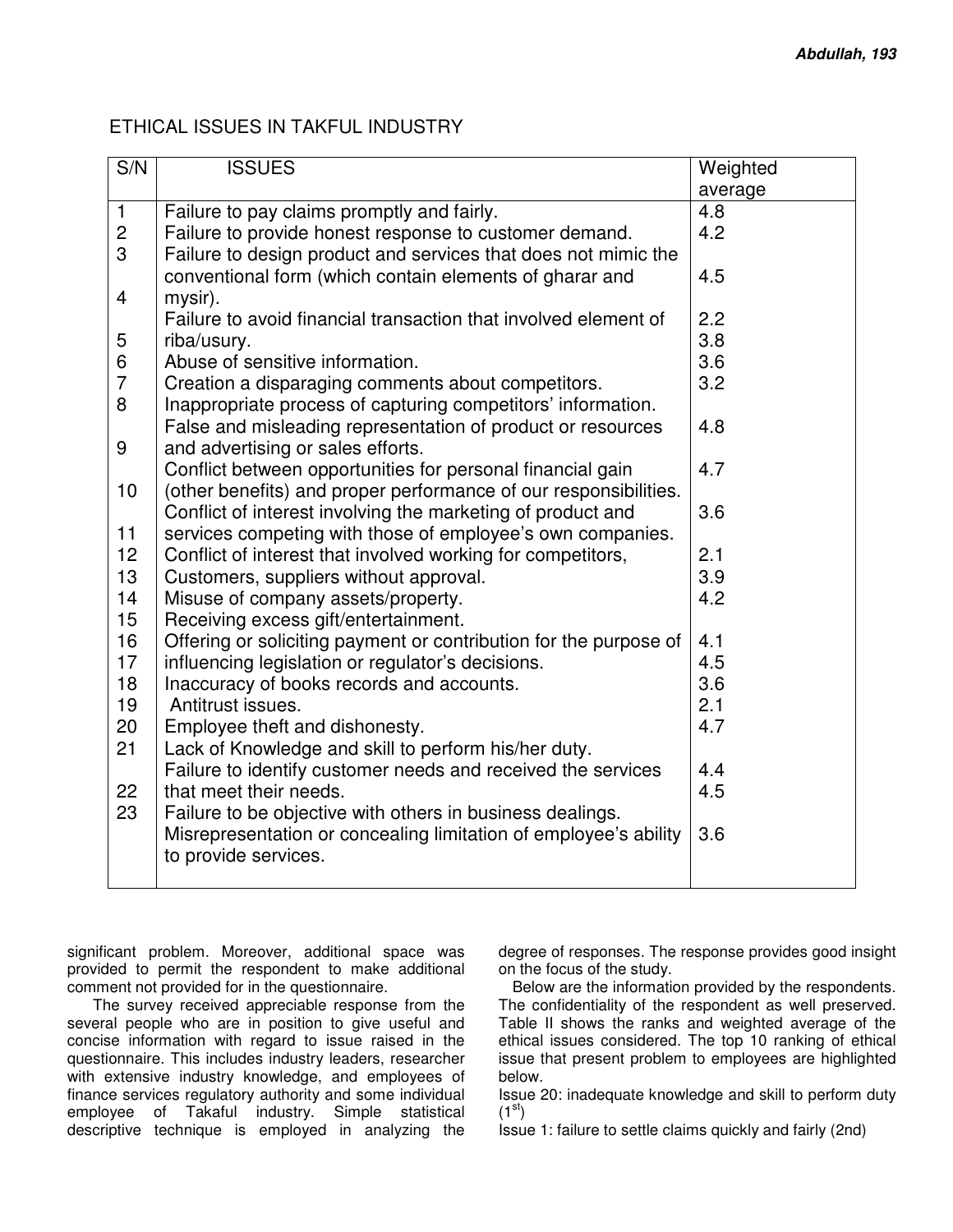## ETHICAL ISSUES IN TAKFUL INDUSTRY

| S/N                     | <b>ISSUES</b>                                                     | Weighted |
|-------------------------|-------------------------------------------------------------------|----------|
|                         |                                                                   | average  |
| $\mathbf{1}$            | Failure to pay claims promptly and fairly.                        | 4.8      |
| $\overline{c}$          | Failure to provide honest response to customer demand.            | 4.2      |
| 3                       | Failure to design product and services that does not mimic the    |          |
|                         | conventional form (which contain elements of gharar and           | 4.5      |
| $\overline{\mathbf{4}}$ | mysir).                                                           |          |
|                         | Failure to avoid financial transaction that involved element of   | 2.2      |
| 5                       | riba/usury.                                                       | 3.8      |
| 6                       | Abuse of sensitive information.                                   | 3.6      |
| $\overline{7}$          | Creation a disparaging comments about competitors.                | 3.2      |
| 8                       | Inappropriate process of capturing competitors' information.      |          |
|                         | False and misleading representation of product or resources       | 4.8      |
| 9                       | and advertising or sales efforts.                                 |          |
|                         | Conflict between opportunities for personal financial gain        | 4.7      |
| 10                      | (other benefits) and proper performance of our responsibilities.  |          |
|                         | Conflict of interest involving the marketing of product and       | 3.6      |
| 11                      | services competing with those of employee's own companies.        |          |
| 12                      | Conflict of interest that involved working for competitors,       | 2.1      |
| 13                      | Customers, suppliers without approval.                            | 3.9      |
| 14                      | Misuse of company assets/property.                                | 4.2      |
| 15                      | Receiving excess gift/entertainment.                              |          |
| 16                      | Offering or soliciting payment or contribution for the purpose of | 4.1      |
| 17                      | influencing legislation or regulator's decisions.                 | 4.5      |
| 18                      | Inaccuracy of books records and accounts.                         | 3.6      |
| 19                      | Antitrust issues.                                                 | 2.1      |
| 20                      | Employee theft and dishonesty.                                    | 4.7      |
| 21                      | Lack of Knowledge and skill to perform his/her duty.              |          |
|                         | Failure to identify customer needs and received the services      | 4.4      |
| 22                      | that meet their needs.                                            | 4.5      |
| 23                      | Failure to be objective with others in business dealings.         |          |
|                         | Misrepresentation or concealing limitation of employee's ability  | 3.6      |
|                         | to provide services.                                              |          |
|                         |                                                                   |          |

significant problem. Moreover, additional space was provided to permit the respondent to make additional comment not provided for in the questionnaire.

 The survey received appreciable response from the several people who are in position to give useful and concise information with regard to issue raised in the questionnaire. This includes industry leaders, researcher with extensive industry knowledge, and employees of finance services regulatory authority and some individual employee of Takaful industry. Simple statistical descriptive technique is employed in analyzing the

degree of responses. The response provides good insight on the focus of the study.

Below are the information provided by the respondents. The confidentiality of the respondent as well preserved. Table II shows the ranks and weighted average of the ethical issues considered. The top 10 ranking of ethical issue that present problem to employees are highlighted below.

Issue 20: inadequate knowledge and skill to perform duty  $(1<sup>st</sup>)$ 

Issue 1: failure to settle claims quickly and fairly (2nd)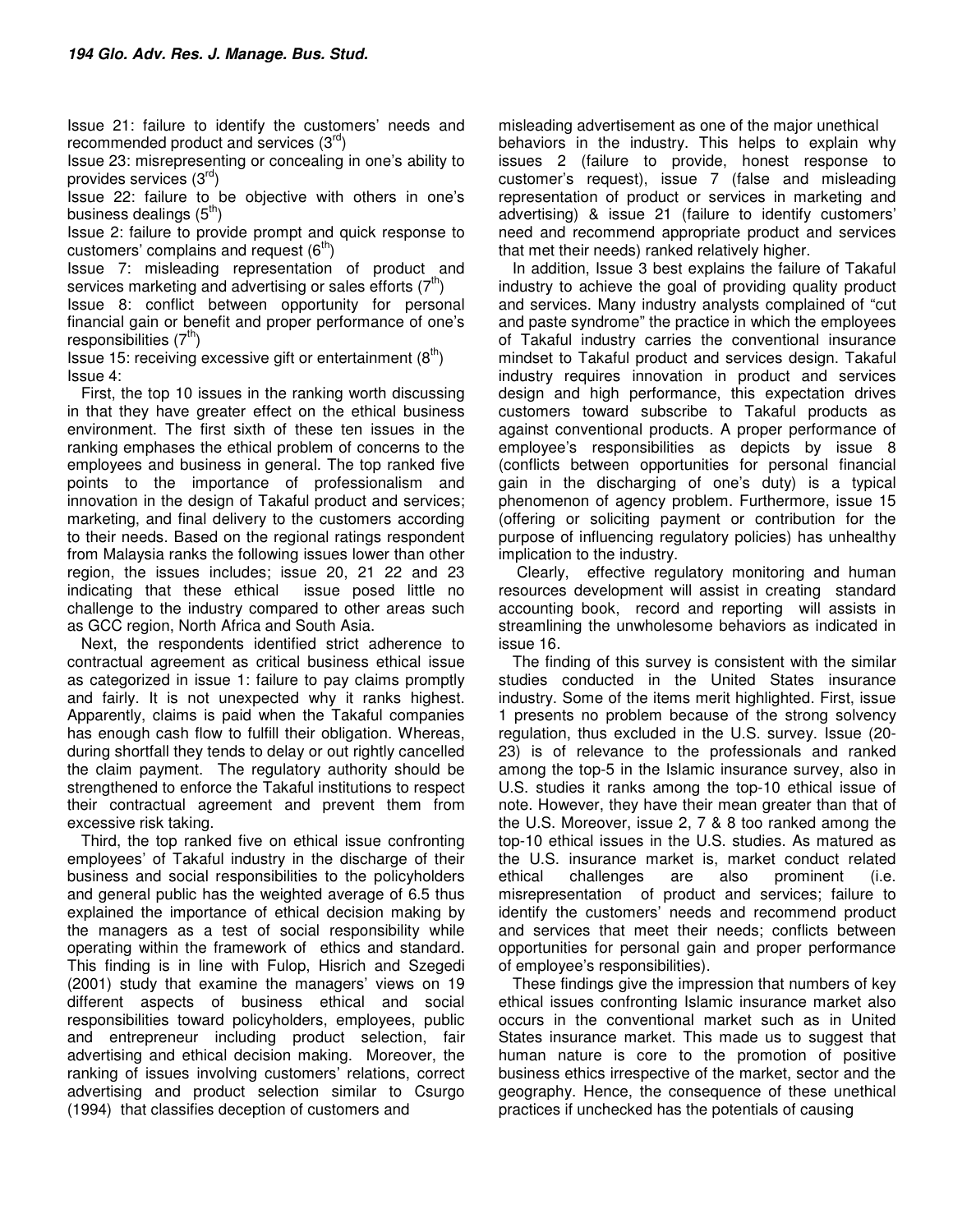Issue 21: failure to identify the customers' needs and recommended product and services  $(3^{rd})$ 

Issue 23: misrepresenting or concealing in one's ability to provides services  $(3^{ra})$ 

Issue 22: failure to be objective with others in one's business dealings  $(5<sup>th</sup>)$ 

Issue 2: failure to provide prompt and quick response to customers' complains and request  $(6^{th})$ 

Issue 7: misleading representation of product and services marketing and advertising or sales efforts  $(7<sup>t</sup>)$ 

Issue 8: conflict between opportunity for personal financial gain or benefit and proper performance of one's responsibilities  $(7<sup>tn</sup>)$ 

Issue 15: receiving excessive gift or entertainment  $(8^{th})$ Issue 4:

First, the top 10 issues in the ranking worth discussing in that they have greater effect on the ethical business environment. The first sixth of these ten issues in the ranking emphases the ethical problem of concerns to the employees and business in general. The top ranked five points to the importance of professionalism and innovation in the design of Takaful product and services; marketing, and final delivery to the customers according to their needs. Based on the regional ratings respondent from Malaysia ranks the following issues lower than other region, the issues includes; issue 20, 21 22 and 23 indicating that these ethical issue posed little no challenge to the industry compared to other areas such as GCC region, North Africa and South Asia.

Next, the respondents identified strict adherence to contractual agreement as critical business ethical issue as categorized in issue 1: failure to pay claims promptly and fairly. It is not unexpected why it ranks highest. Apparently, claims is paid when the Takaful companies has enough cash flow to fulfill their obligation. Whereas, during shortfall they tends to delay or out rightly cancelled the claim payment. The regulatory authority should be strengthened to enforce the Takaful institutions to respect their contractual agreement and prevent them from excessive risk taking.

Third, the top ranked five on ethical issue confronting employees' of Takaful industry in the discharge of their business and social responsibilities to the policyholders and general public has the weighted average of 6.5 thus explained the importance of ethical decision making by the managers as a test of social responsibility while operating within the framework of ethics and standard. This finding is in line with Fulop, Hisrich and Szegedi (2001) study that examine the managers' views on 19 different aspects of business ethical and social responsibilities toward policyholders, employees, public and entrepreneur including product selection, fair advertising and ethical decision making. Moreover, the ranking of issues involving customers' relations, correct advertising and product selection similar to Csurgo (1994) that classifies deception of customers and

misleading advertisement as one of the major unethical behaviors in the industry. This helps to explain why issues 2 (failure to provide, honest response to customer's request), issue 7 (false and misleading representation of product or services in marketing and advertising) & issue 21 (failure to identify customers' need and recommend appropriate product and services that met their needs) ranked relatively higher.

In addition, Issue 3 best explains the failure of Takaful industry to achieve the goal of providing quality product and services. Many industry analysts complained of "cut and paste syndrome" the practice in which the employees of Takaful industry carries the conventional insurance mindset to Takaful product and services design. Takaful industry requires innovation in product and services design and high performance, this expectation drives customers toward subscribe to Takaful products as against conventional products. A proper performance of employee's responsibilities as depicts by issue 8 (conflicts between opportunities for personal financial gain in the discharging of one's duty) is a typical phenomenon of agency problem. Furthermore, issue 15 (offering or soliciting payment or contribution for the purpose of influencing regulatory policies) has unhealthy implication to the industry.

 Clearly, effective regulatory monitoring and human resources development will assist in creating standard accounting book, record and reporting will assists in streamlining the unwholesome behaviors as indicated in issue 16.

The finding of this survey is consistent with the similar studies conducted in the United States insurance industry. Some of the items merit highlighted. First, issue 1 presents no problem because of the strong solvency regulation, thus excluded in the U.S. survey. Issue (20- 23) is of relevance to the professionals and ranked among the top-5 in the Islamic insurance survey, also in U.S. studies it ranks among the top-10 ethical issue of note. However, they have their mean greater than that of the U.S. Moreover, issue 2, 7 & 8 too ranked among the top-10 ethical issues in the U.S. studies. As matured as the U.S. insurance market is, market conduct related ethical challenges are also prominent (i.e. misrepresentation of product and services; failure to identify the customers' needs and recommend product and services that meet their needs; conflicts between opportunities for personal gain and proper performance of employee's responsibilities).

These findings give the impression that numbers of key ethical issues confronting Islamic insurance market also occurs in the conventional market such as in United States insurance market. This made us to suggest that human nature is core to the promotion of positive business ethics irrespective of the market, sector and the geography. Hence, the consequence of these unethical practices if unchecked has the potentials of causing